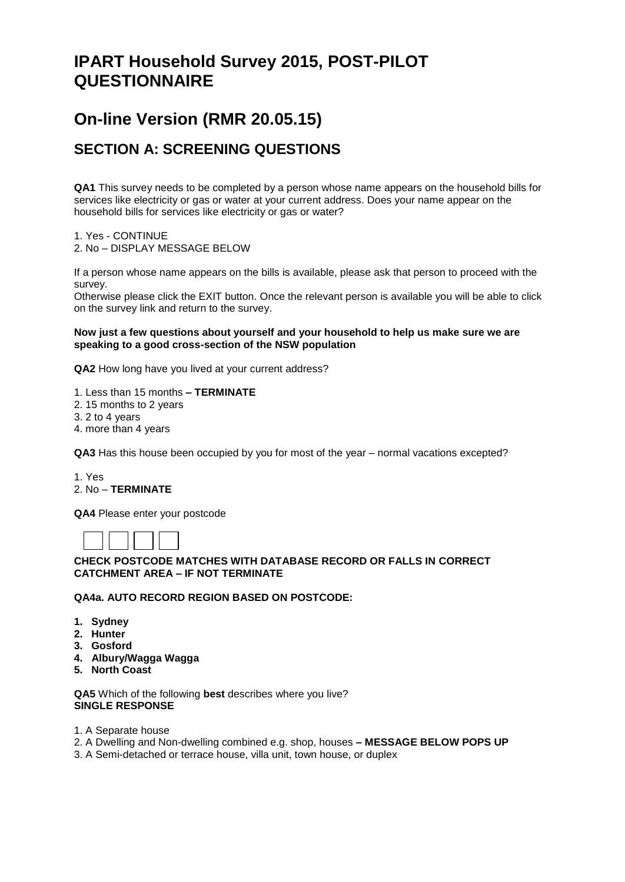# **IPART Household Survey 2015, POST-PILOT QUESTIONNAIRE**

# **On-line Version (RMR 20.05.15)**

## **SECTION A: SCREENING QUESTIONS**

**QA1** This survey needs to be completed by a person whose name appears on the household bills for services like electricity or gas or water at your current address. Does your name appear on the household bills for services like electricity or gas or water?

1. Yes - CONTINUE 2. No – DISPLAY MESSAGE BELOW

If a person whose name appears on the bills is available, please ask that person to proceed with the survey.

Otherwise please click the EXIT button. Once the relevant person is available you will be able to click on the survey link and return to the survey.

#### **Now just a few questions about yourself and your household to help us make sure we are speaking to a good cross-section of the NSW population**

**QA2** How long have you lived at your current address?

1. Less than 15 months **– TERMINATE**

- 2. 15 months to 2 years
- 3. 2 to 4 years
- 4. more than 4 years

**QA3** Has this house been occupied by you for most of the year – normal vacations excepted?

1. Yes

## 2. No – **TERMINATE**

**QA4** Please enter your postcode

## **CHECK POSTCODE MATCHES WITH DATABASE RECORD OR FALLS IN CORRECT CATCHMENT AREA – IF NOT TERMINATE**

**QA4a. AUTO RECORD REGION BASED ON POSTCODE:**

- **1. Sydney**
- **2. Hunter**
- **3. Gosford**
- **4. Albury/Wagga Wagga**
- **5. North Coast**

**QA5** Which of the following **best** describes where you live? **SINGLE RESPONSE**

- 1. A Separate house
- 2. A Dwelling and Non-dwelling combined e.g. shop, houses **– MESSAGE BELOW POPS UP**
- 3. A Semi-detached or terrace house, villa unit, town house, or duplex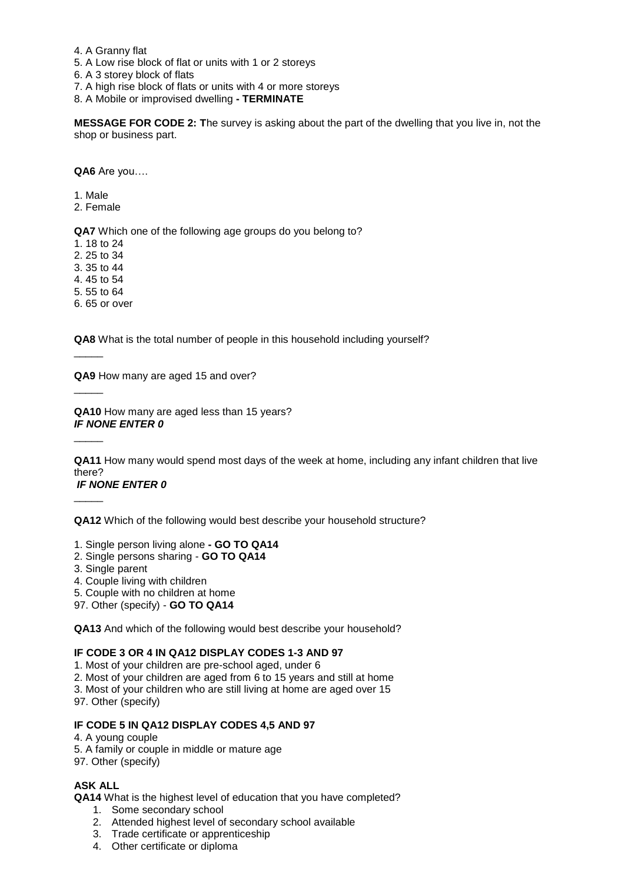- 4. A Granny flat
- 5. A Low rise block of flat or units with 1 or 2 storeys

6. A 3 storey block of flats

7. A high rise block of flats or units with 4 or more storeys

8. A Mobile or improvised dwelling **- TERMINATE**

**MESSAGE FOR CODE 2: T**he survey is asking about the part of the dwelling that you live in, not the shop or business part.

**QA6** Are you….

- 1. Male
- 2. Female

**QA7** Which one of the following age groups do you belong to?

1. 18 to 24

2. 25 to 34

3. 35 to 44

4. 45 to 54

5. 55 to 64

 $\overline{\phantom{a}}$ 

 $\overline{\phantom{a}}$ 

 $\overline{\phantom{a}}$ 

 $\overline{\phantom{a}}$ 

6. 65 or over

**QA8** What is the total number of people in this household including yourself?

**QA9** How many are aged 15 and over?

**QA10** How many are aged less than 15 years? *IF NONE ENTER 0*

**QA11** How many would spend most days of the week at home, including any infant children that live there?

## *IF NONE ENTER 0*

**QA12** Which of the following would best describe your household structure?

1. Single person living alone **- GO TO QA14**

- 2. Single persons sharing **GO TO QA14**
- 3. Single parent
- 4. Couple living with children
- 5. Couple with no children at home
- 97. Other (specify) **GO TO QA14**

**QA13** And which of the following would best describe your household?

#### **IF CODE 3 OR 4 IN QA12 DISPLAY CODES 1-3 AND 97**

1. Most of your children are pre-school aged, under 6

- 2. Most of your children are aged from 6 to 15 years and still at home
- 3. Most of your children who are still living at home are aged over 15

97. Other (specify)

#### **IF CODE 5 IN QA12 DISPLAY CODES 4,5 AND 97**

4. A young couple

5. A family or couple in middle or mature age

97. Other (specify)

#### **ASK ALL**

**QA14** What is the highest level of education that you have completed?

- 1. Some secondary school
- 2. Attended highest level of secondary school available
- 3. Trade certificate or apprenticeship
- 4. Other certificate or diploma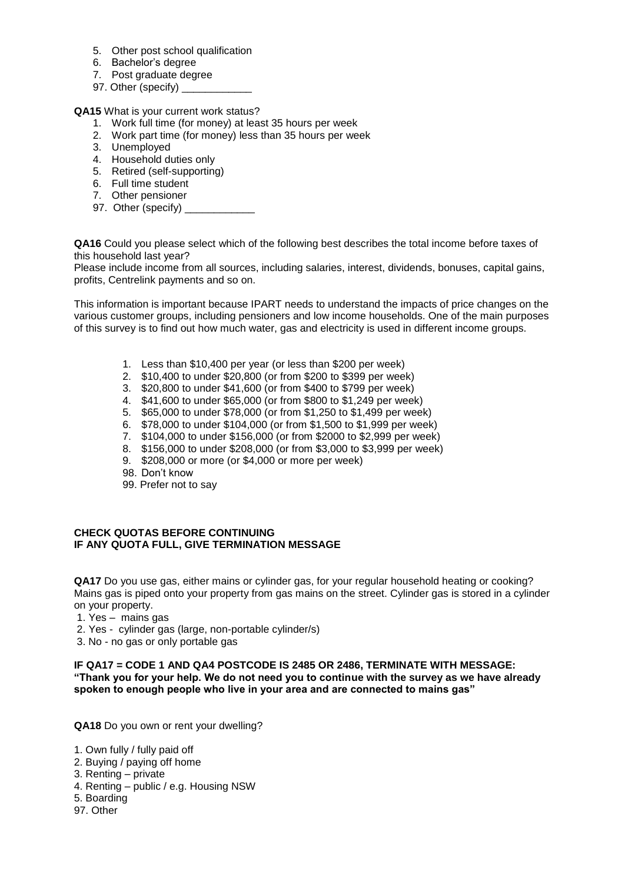- 5. Other post school qualification
- 6. Bachelor's degree
- 7. Post graduate degree
- 97. Other (specify)

**QA15** What is your current work status?

- 1. Work full time (for money) at least 35 hours per week
- 2. Work part time (for money) less than 35 hours per week
- 3. Unemployed
- 4. Household duties only
- 5. Retired (self-supporting)
- 6. Full time student
- 7. Other pensioner
- 97. Other (specify) \_

**QA16** Could you please select which of the following best describes the total income before taxes of this household last year?

Please include income from all sources, including salaries, interest, dividends, bonuses, capital gains, profits, Centrelink payments and so on.

This information is important because IPART needs to understand the impacts of price changes on the various customer groups, including pensioners and low income households. One of the main purposes of this survey is to find out how much water, gas and electricity is used in different income groups.

- 1. Less than \$10,400 per year (or less than \$200 per week)
- 2. \$10,400 to under \$20,800 (or from \$200 to \$399 per week)
- 3. \$20,800 to under \$41,600 (or from \$400 to \$799 per week)
- 4. \$41,600 to under \$65,000 (or from \$800 to \$1,249 per week)
- 5. \$65,000 to under \$78,000 (or from \$1,250 to \$1,499 per week)
- 6. \$78,000 to under \$104,000 (or from \$1,500 to \$1,999 per week)
- 7. \$104,000 to under \$156,000 (or from \$2000 to \$2,999 per week)
- 8. \$156,000 to under \$208,000 (or from \$3,000 to \$3,999 per week)
- 9. \$208,000 or more (or \$4,000 or more per week)
- 98. Don't know
- 99. Prefer not to say

#### **CHECK QUOTAS BEFORE CONTINUING IF ANY QUOTA FULL, GIVE TERMINATION MESSAGE**

**QA17** Do you use gas, either mains or cylinder gas, for your regular household heating or cooking? Mains gas is piped onto your property from gas mains on the street. Cylinder gas is stored in a cylinder on your property.

- 1. Yes mains gas
- 2. Yes cylinder gas (large, non-portable cylinder/s)
- 3. No no gas or only portable gas

**IF QA17 = CODE 1 AND QA4 POSTCODE IS 2485 OR 2486, TERMINATE WITH MESSAGE: "Thank you for your help. We do not need you to continue with the survey as we have already spoken to enough people who live in your area and are connected to mains gas"**

**QA18** Do you own or rent your dwelling?

- 1. Own fully / fully paid off
- 2. Buying / paying off home
- 3. Renting private
- 4. Renting public / e.g. Housing NSW
- 5. Boarding
- 97. Other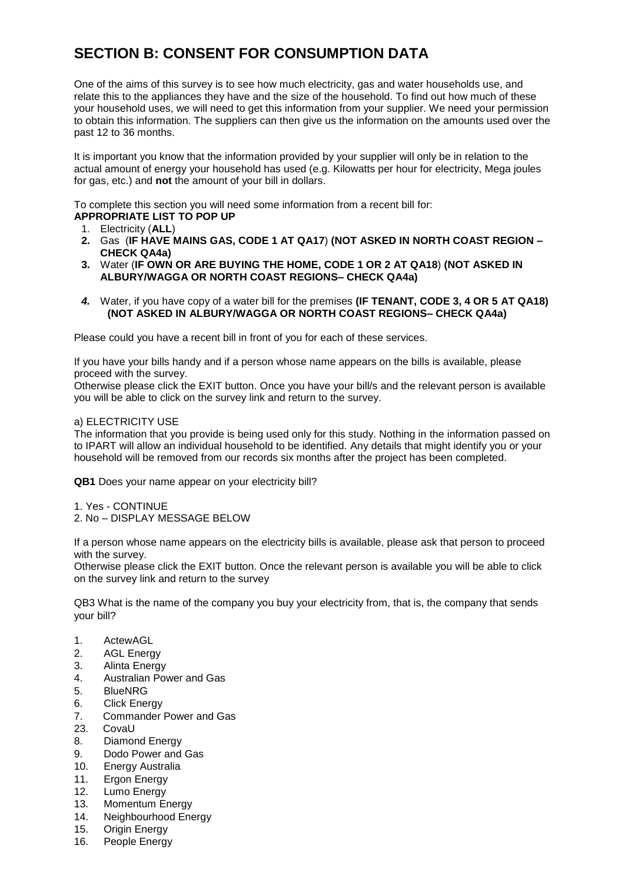# **SECTION B: CONSENT FOR CONSUMPTION DATA**

One of the aims of this survey is to see how much electricity, gas and water households use, and relate this to the appliances they have and the size of the household. To find out how much of these your household uses, we will need to get this information from your supplier. We need your permission to obtain this information. The suppliers can then give us the information on the amounts used over the past 12 to 36 months.

It is important you know that the information provided by your supplier will only be in relation to the actual amount of energy your household has used (e.g. Kilowatts per hour for electricity, Mega joules for gas, etc.) and **not** the amount of your bill in dollars.

To complete this section you will need some information from a recent bill for:

**APPROPRIATE LIST TO POP UP**

- 1. Electricity (**ALL**)
- **2.** Gas (**IF HAVE MAINS GAS, CODE 1 AT QA17**) **(NOT ASKED IN NORTH COAST REGION – CHECK QA4a)**
- **3.** Water (**IF OWN OR ARE BUYING THE HOME, CODE 1 OR 2 AT QA18**) **(NOT ASKED IN ALBURY/WAGGA OR NORTH COAST REGIONS– CHECK QA4a)**
- *4.* Water, if you have copy of a water bill for the premises **(IF TENANT, CODE 3, 4 OR 5 AT QA18) (NOT ASKED IN ALBURY/WAGGA OR NORTH COAST REGIONS– CHECK QA4a)**

Please could you have a recent bill in front of you for each of these services.

If you have your bills handy and if a person whose name appears on the bills is available, please proceed with the survey.

Otherwise please click the EXIT button. Once you have your bill/s and the relevant person is available you will be able to click on the survey link and return to the survey.

#### a) ELECTRICITY USE

The information that you provide is being used only for this study. Nothing in the information passed on to IPART will allow an individual household to be identified. Any details that might identify you or your household will be removed from our records six months after the project has been completed.

**QB1** Does your name appear on your electricity bill?

- 1. Yes CONTINUE
- 2. No DISPLAY MESSAGE BELOW

If a person whose name appears on the electricity bills is available, please ask that person to proceed with the survey.

Otherwise please click the EXIT button. Once the relevant person is available you will be able to click on the survey link and return to the survey

QB3 What is the name of the company you buy your electricity from, that is, the company that sends your bill?

- 1. ActewAGL
- 2. AGL Energy
- 3. Alinta Energy
- 4. Australian Power and Gas
- 5. BlueNRG
- 6. Click Energy
- 7. Commander Power and Gas
- 23. CovaU
- 8. Diamond Energy
- 9. Dodo Power and Gas
- 10. Energy Australia
- 11. Ergon Energy
- 12. Lumo Energy
- 13. Momentum Energy
- 14. Neighbourhood Energy
- 15. Origin Energy
- 16. People Energy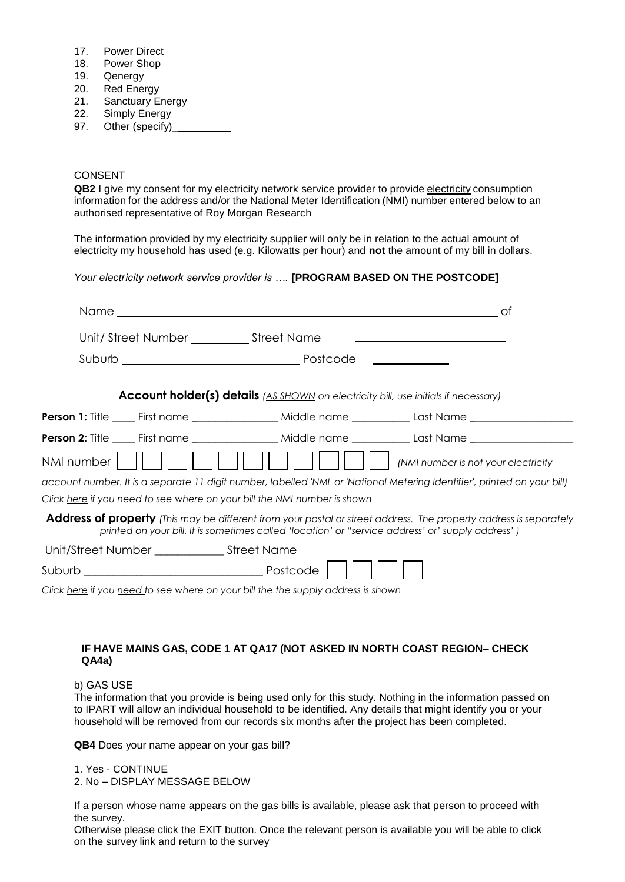- 17. Power Direct
- 18. Power Shop
- 
- 19. Qenergy<br>20. Red Ene **Red Energy**
- 21. Sanctuary Energy
- 22. Simply Energy
- 97. Other (specify)\_

### CONSENT

**QB2** I give my consent for my electricity network service provider to provide electricity consumption information for the address and/or the National Meter Identification (NMI) number entered below to an authorised representative of Roy Morgan Research

The information provided by my electricity supplier will only be in relation to the actual amount of electricity my household has used (e.g. Kilowatts per hour) and **not** the amount of my bill in dollars.

*Your electricity network service provider is ….* **[PROGRAM BASED ON THE POSTCODE]**

|                                                                                  |                                                                                                    | 0t                                                                                                                        |
|----------------------------------------------------------------------------------|----------------------------------------------------------------------------------------------------|---------------------------------------------------------------------------------------------------------------------------|
|                                                                                  |                                                                                                    | <u> 1989 - Andrea Stadt Britain, amerikansk politik (d. 1989)</u>                                                         |
|                                                                                  |                                                                                                    |                                                                                                                           |
|                                                                                  | <b>Account holder(s) details</b> (AS SHOWN on electricity bill, use initials if necessary)         |                                                                                                                           |
|                                                                                  |                                                                                                    | <b>Person 1:</b> Title _____ First name ____________________ Middle name ______________ Last Name __________________      |
|                                                                                  |                                                                                                    | Person 2: Title _____ First name ____________________ Middle name ______________Last Name ___________________             |
| NMI number                                                                       |                                                                                                    | (NMI number is not your electricity                                                                                       |
|                                                                                  |                                                                                                    | account number. It is a separate 11 digit number, labelled 'NMI' or 'National Metering Identifier', printed on your bill) |
| Click <u>here</u> if you need to see where on your bill the NMI number is shown  |                                                                                                    |                                                                                                                           |
|                                                                                  | printed on your bill. It is sometimes called 'location' or "service address' or' supply address' ) | <b>Address of property</b> (This may be different from your postal or street address. The property address is separately  |
|                                                                                  |                                                                                                    |                                                                                                                           |
|                                                                                  |                                                                                                    |                                                                                                                           |
| Click here if you need to see where on your bill the the supply address is shown |                                                                                                    |                                                                                                                           |

#### **IF HAVE MAINS GAS, CODE 1 AT QA17 (NOT ASKED IN NORTH COAST REGION– CHECK QA4a)**

b) GAS USE

The information that you provide is being used only for this study. Nothing in the information passed on to IPART will allow an individual household to be identified. Any details that might identify you or your household will be removed from our records six months after the project has been completed.

**QB4** Does your name appear on your gas bill?

1. Yes - CONTINUE 2. No – DISPLAY MESSAGE BELOW

If a person whose name appears on the gas bills is available, please ask that person to proceed with the survey.

Otherwise please click the EXIT button. Once the relevant person is available you will be able to click on the survey link and return to the survey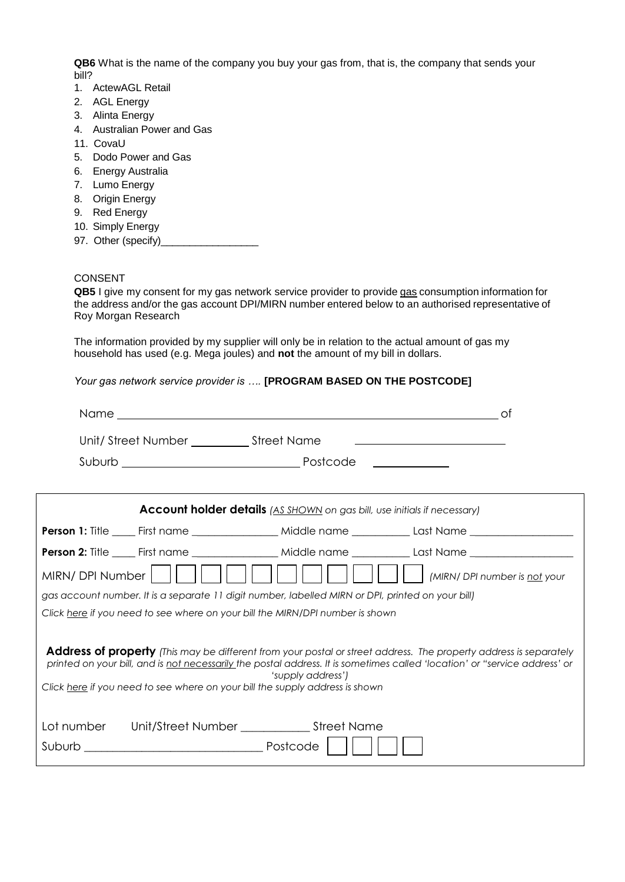**QB6** What is the name of the company you buy your gas from, that is, the company that sends your bill?

- 1. ActewAGL Retail
- 2. AGL Energy
- 3. Alinta Energy
- 4. Australian Power and Gas
- 11. CovaU
- 5. Dodo Power and Gas
- 6. Energy Australia
- 7. Lumo Energy
- 8. Origin Energy
- 9. Red Energy
- 10. Simply Energy
- 97. Other (specify)\_

#### CONSENT

QB5 I give my consent for my gas network service provider to provide gas consumption information for the address and/or the gas account DPI/MIRN number entered below to an authorised representative of Roy Morgan Research

The information provided by my supplier will only be in relation to the actual amount of gas my household has used (e.g. Mega joules) and **not** the amount of my bill in dollars.

*Your gas network service provider is ….* **[PROGRAM BASED ON THE POSTCODE]**

|                  |                                               | Name and the contract of the contract of the contract of the contract of the contract of the contract of the contract of the contract of the contract of the contract of the contract of the contract of the contract of the c | _of                                                                                                                                                                                                                                                    |
|------------------|-----------------------------------------------|--------------------------------------------------------------------------------------------------------------------------------------------------------------------------------------------------------------------------------|--------------------------------------------------------------------------------------------------------------------------------------------------------------------------------------------------------------------------------------------------------|
|                  | Unit/Street Number _______________Street Name |                                                                                                                                                                                                                                | the contract of the contract of the contract of the contract of the contract of the                                                                                                                                                                    |
|                  |                                               |                                                                                                                                                                                                                                |                                                                                                                                                                                                                                                        |
|                  |                                               | <b>Account holder details</b> (AS SHOWN on gas bill, use initials if necessary)                                                                                                                                                |                                                                                                                                                                                                                                                        |
|                  |                                               |                                                                                                                                                                                                                                | Person 1: Title _____ First name ____________________ Middle name ______________Last Name ___________________                                                                                                                                          |
|                  |                                               |                                                                                                                                                                                                                                |                                                                                                                                                                                                                                                        |
| MIRN/ DPI Number |                                               |                                                                                                                                                                                                                                | (MIRN/ DPI number is not your                                                                                                                                                                                                                          |
|                  |                                               | gas account number. It is a separate 11 digit number, labelled MIRN or DPI, printed on your bill)                                                                                                                              |                                                                                                                                                                                                                                                        |
|                  |                                               | Click here if you need to see where on your bill the MIRN/DPI number is shown                                                                                                                                                  |                                                                                                                                                                                                                                                        |
|                  |                                               | 'supply address')<br>Click here if you need to see where on your bill the supply address is shown                                                                                                                              | <b>Address of property</b> (This may be different from your postal or street address. The property address is separately<br>printed on your bill, and is not necessarily the postal address. It is sometimes called 'location' or "service address' or |
|                  |                                               | Lot number Unit/Street Number _______________ Street Name                                                                                                                                                                      |                                                                                                                                                                                                                                                        |
|                  |                                               |                                                                                                                                                                                                                                |                                                                                                                                                                                                                                                        |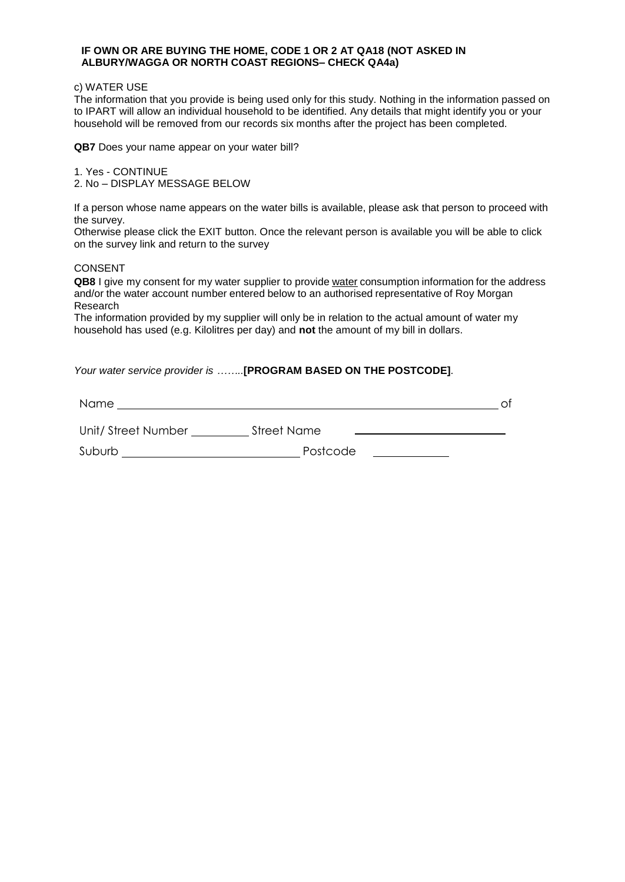#### **IF OWN OR ARE BUYING THE HOME, CODE 1 OR 2 AT QA18 (NOT ASKED IN ALBURY/WAGGA OR NORTH COAST REGIONS– CHECK QA4a)**

#### c) WATER USE

The information that you provide is being used only for this study. Nothing in the information passed on to IPART will allow an individual household to be identified. Any details that might identify you or your household will be removed from our records six months after the project has been completed.

**QB7** Does your name appear on your water bill?

1. Yes - CONTINUE 2. No – DISPLAY MESSAGE BELOW

If a person whose name appears on the water bills is available, please ask that person to proceed with the survey.

Otherwise please click the EXIT button. Once the relevant person is available you will be able to click on the survey link and return to the survey

#### CONSENT

**QB8** I give my consent for my water supplier to provide water consumption information for the address and/or the water account number entered below to an authorised representative of Roy Morgan Research

The information provided by my supplier will only be in relation to the actual amount of water my household has used (e.g. Kilolitres per day) and **not** the amount of my bill in dollars.

*Your water service provider is ……..***[PROGRAM BASED ON THE POSTCODE]***.*

Name of the contract of the contract of the contract of the contract of the contract of the contract of the contract of the contract of the contract of the contract of the contract of the contract of the contract of the co

| Unit/Street Number | <b>Street Name</b> |  |
|--------------------|--------------------|--|
|                    |                    |  |

Suburb Postcode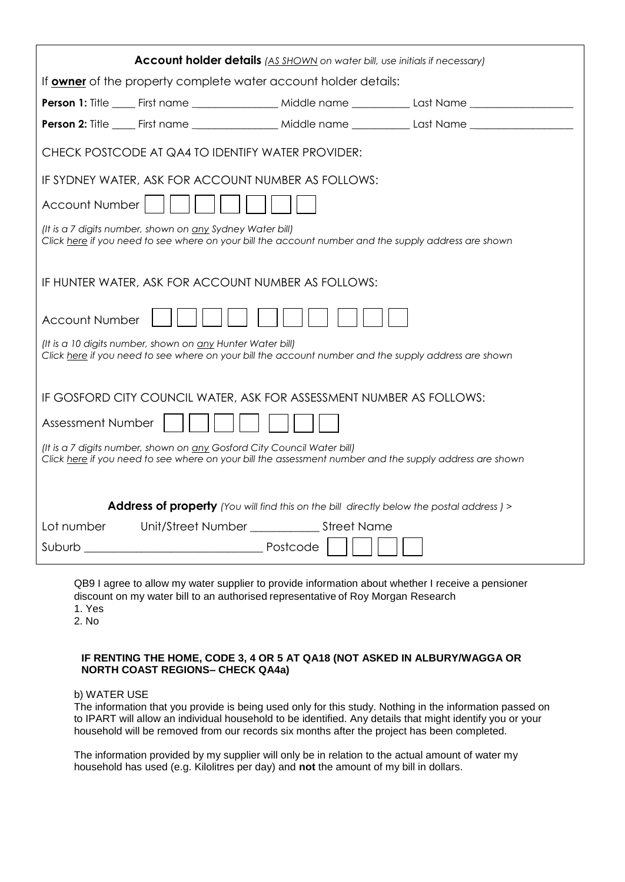| <b>Account holder details</b> (AS SHOWN on water bill, use initials if necessary)                                                                                                  |  |  |  |  |  |  |  |
|------------------------------------------------------------------------------------------------------------------------------------------------------------------------------------|--|--|--|--|--|--|--|
| If owner of the property complete water account holder details:                                                                                                                    |  |  |  |  |  |  |  |
|                                                                                                                                                                                    |  |  |  |  |  |  |  |
|                                                                                                                                                                                    |  |  |  |  |  |  |  |
| CHECK POSTCODE AT QA4 TO IDENTIFY WATER PROVIDER:                                                                                                                                  |  |  |  |  |  |  |  |
| IF SYDNEY WATER, ASK FOR ACCOUNT NUMBER AS FOLLOWS:                                                                                                                                |  |  |  |  |  |  |  |
| Account Number                                                                                                                                                                     |  |  |  |  |  |  |  |
| (It is a 7 digits number, shown on any Sydney Water bill)<br>Click here if you need to see where on your bill the account number and the supply address are shown                  |  |  |  |  |  |  |  |
| IF HUNTER WATER, ASK FOR ACCOUNT NUMBER AS FOLLOWS:                                                                                                                                |  |  |  |  |  |  |  |
| <b>Account Number</b>                                                                                                                                                              |  |  |  |  |  |  |  |
| (It is a 10 digits number, shown on any Hunter Water bill)<br>Click here if you need to see where on your bill the account number and the supply address are shown                 |  |  |  |  |  |  |  |
| IF GOSFORD CITY COUNCIL WATER, ASK FOR ASSESSMENT NUMBER AS FOLLOWS:                                                                                                               |  |  |  |  |  |  |  |
| Assessment Number                                                                                                                                                                  |  |  |  |  |  |  |  |
| (It is a 7 digits number, shown on any Gosford City Council Water bill)<br>Click here if you need to see where on your bill the assessment number and the supply address are shown |  |  |  |  |  |  |  |
| <b>Address of property</b> (You will find this on the bill directly below the postal address) >                                                                                    |  |  |  |  |  |  |  |
| Unit/Street Number ________________ Street Name<br>Lot number                                                                                                                      |  |  |  |  |  |  |  |
| Suburb Postcode                                                                                                                                                                    |  |  |  |  |  |  |  |

QB9 I agree to allow my water supplier to provide information about whether I receive a pensioner discount on my water bill to an authorised representative of Roy Morgan Research 1. Yes

2. No

#### **IF RENTING THE HOME, CODE 3, 4 OR 5 AT QA18 (NOT ASKED IN ALBURY/WAGGA OR NORTH COAST REGIONS– CHECK QA4a)**

b) WATER USE

The information that you provide is being used only for this study. Nothing in the information passed on to IPART will allow an individual household to be identified. Any details that might identify you or your household will be removed from our records six months after the project has been completed.

The information provided by my supplier will only be in relation to the actual amount of water my household has used (e.g. Kilolitres per day) and **not** the amount of my bill in dollars.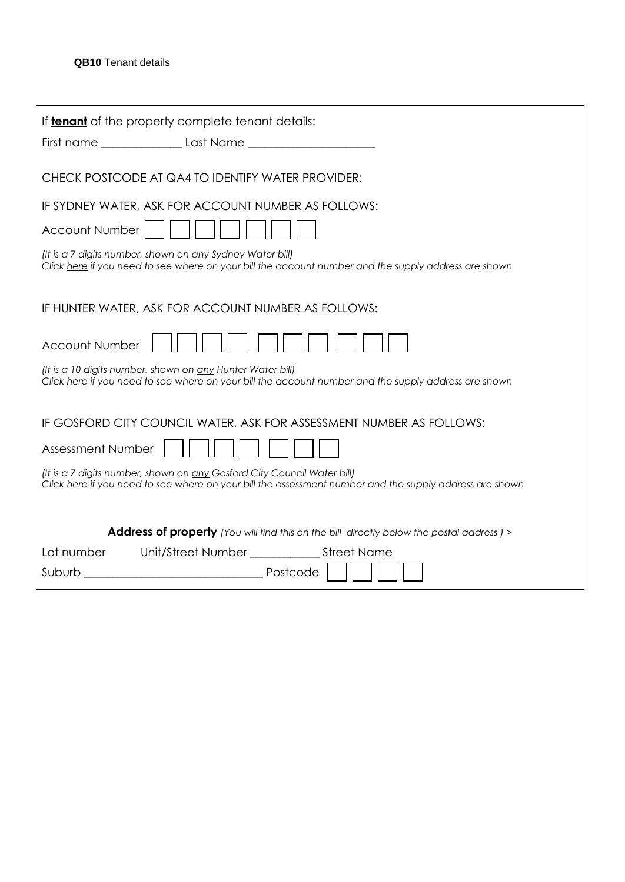|                          | If <b>tenant</b> of the property complete tenant details:                                                                                                                          |
|--------------------------|------------------------------------------------------------------------------------------------------------------------------------------------------------------------------------|
|                          |                                                                                                                                                                                    |
|                          | CHECK POSTCODE AT QA4 TO IDENTIFY WATER PROVIDER:                                                                                                                                  |
|                          | IF SYDNEY WATER, ASK FOR ACCOUNT NUMBER AS FOLLOWS:                                                                                                                                |
| <b>Account Number</b>    |                                                                                                                                                                                    |
|                          | (It is a 7 digits number, shown on any Sydney Water bill)<br>Click here if you need to see where on your bill the account number and the supply address are shown                  |
|                          | IF HUNTER WATER, ASK FOR ACCOUNT NUMBER AS FOLLOWS:                                                                                                                                |
| <b>Account Number</b>    |                                                                                                                                                                                    |
|                          | (It is a 10 digits number, shown on <u>any</u> Hunter Water bill)<br>Click here if you need to see where on your bill the account number and the supply address are shown          |
|                          | IF GOSFORD CITY COUNCIL WATER, ASK FOR ASSESSMENT NUMBER AS FOLLOWS:                                                                                                               |
| <b>Assessment Number</b> |                                                                                                                                                                                    |
|                          | (It is a 7 digits number, shown on any Gosford City Council Water bill)<br>Click here if you need to see where on your bill the assessment number and the supply address are shown |
|                          | <b>Address of property</b> (You will find this on the bill directly below the postal address) >                                                                                    |
| Lot number               |                                                                                                                                                                                    |
|                          |                                                                                                                                                                                    |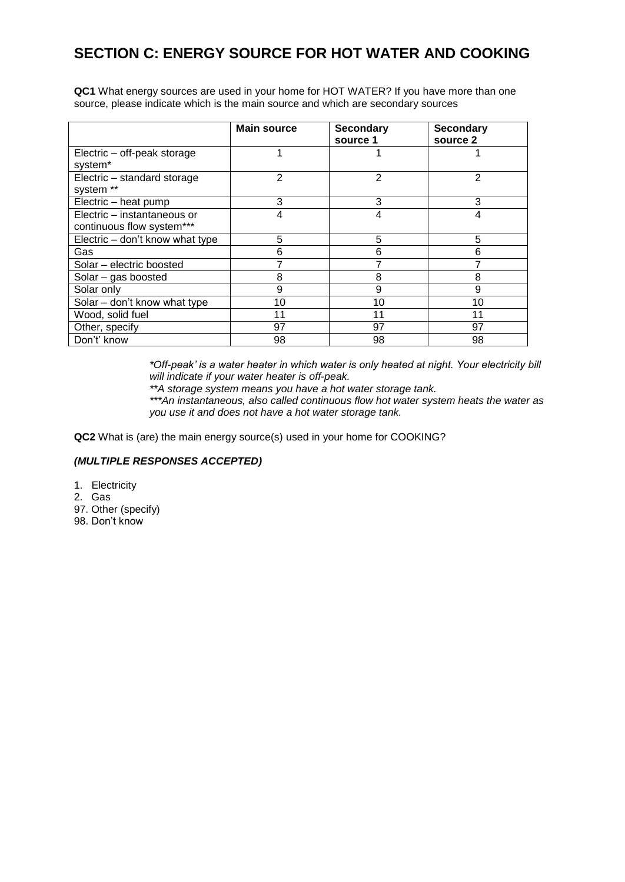# **SECTION C: ENERGY SOURCE FOR HOT WATER AND COOKING**

**QC1** What energy sources are used in your home for HOT WATER? If you have more than one source, please indicate which is the main source and which are secondary sources

|                                 | <b>Main source</b> | <b>Secondary</b> | <b>Secondary</b> |
|---------------------------------|--------------------|------------------|------------------|
|                                 |                    | source 1         | source 2         |
| Electric – off-peak storage     |                    |                  |                  |
| system*                         |                    |                  |                  |
| Electric - standard storage     | $\overline{2}$     | 2                | 2                |
| system **                       |                    |                  |                  |
| Electric - heat pump            | 3                  | 3                | 3                |
| Electric - instantaneous or     | 4                  | 4                | 4                |
| continuous flow system***       |                    |                  |                  |
| Electric – don't know what type | 5                  | 5                | 5                |
| Gas                             | 6                  | 6                | 6                |
| Solar – electric boosted        |                    |                  |                  |
| Solar $-$ gas boosted           | 8                  | 8                | 8                |
| Solar only                      | 9                  | 9                | 9                |
| Solar – don't know what type    | 10                 | 10               | 10               |
| Wood, solid fuel                | 11                 | 11               | 11               |
| Other, specify                  | 97                 | 97               | 97               |
| Don't' know                     | 98                 | 98               | 98               |

*\*Off-peak' is a water heater in which water is only heated at night. Your electricity bill will indicate if your water heater is off-peak.*

*\*\*A storage system means you have a hot water storage tank.* 

*\*\*\*An instantaneous, also called continuous flow hot water system heats the water as you use it and does not have a hot water storage tank.*

**QC2** What is (are) the main energy source(s) used in your home for COOKING?

#### *(MULTIPLE RESPONSES ACCEPTED)*

- 1. Electricity
- 2. Gas
- 97. Other (specify)
- 98. Don't know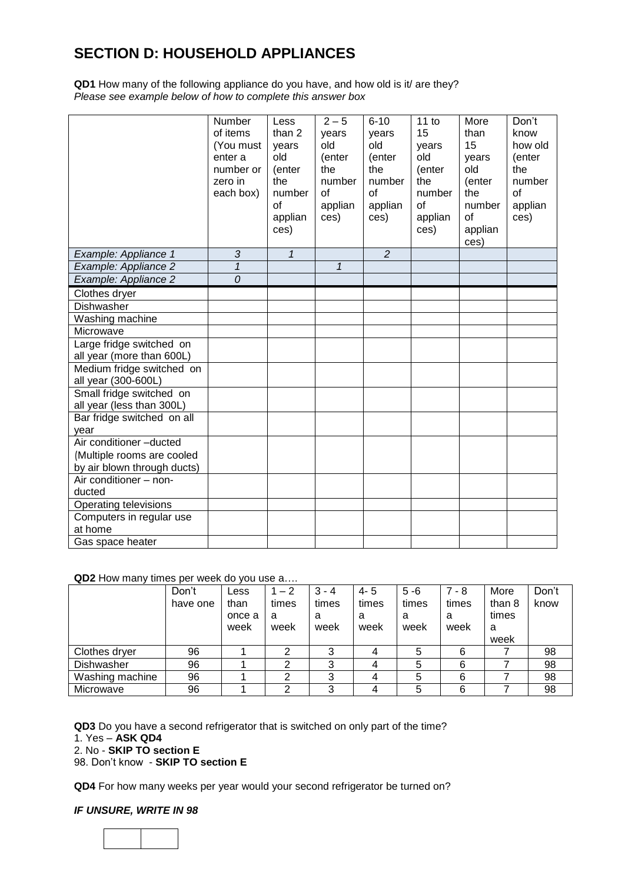# **SECTION D: HOUSEHOLD APPLIANCES**

**QD1** How many of the following appliance do you have, and how old is it/ are they? *Please see example below of how to complete this answer box*

|                                                  | Number<br>of items<br>(You must<br>enter a<br>number or<br>zero in<br>each box) | Less<br>than 2<br>years<br>old<br>(enter<br>the<br>number<br>of<br>applian<br>ces) | $2 - 5$<br>years<br>old<br>(enter<br>the<br>number<br>$\Omega$<br>applian<br>ces) | $6 - 10$<br>years<br>old<br>(enter<br>the<br>number<br>$\alpha$ f<br>applian<br>ces) | 11 to<br>15<br>years<br>old<br>(enter<br>the<br>number<br>of<br>applian<br>ces) | More<br>than<br>15<br>years<br>old<br>(enter<br>the<br>number<br>of<br>applian<br>ces) | Don't<br>know<br>how old<br>(enter<br>the<br>number<br>of<br>applian<br>ces) |
|--------------------------------------------------|---------------------------------------------------------------------------------|------------------------------------------------------------------------------------|-----------------------------------------------------------------------------------|--------------------------------------------------------------------------------------|---------------------------------------------------------------------------------|----------------------------------------------------------------------------------------|------------------------------------------------------------------------------|
| Example: Appliance 1                             | 3                                                                               | $\mathbf{1}$                                                                       |                                                                                   | $\overline{2}$                                                                       |                                                                                 |                                                                                        |                                                                              |
| Example: Appliance 2                             | $\overline{1}$                                                                  |                                                                                    | $\mathcal I$                                                                      |                                                                                      |                                                                                 |                                                                                        |                                                                              |
| Example: Appliance 2                             | $\overline{0}$                                                                  |                                                                                    |                                                                                   |                                                                                      |                                                                                 |                                                                                        |                                                                              |
| Clothes dryer                                    |                                                                                 |                                                                                    |                                                                                   |                                                                                      |                                                                                 |                                                                                        |                                                                              |
| Dishwasher                                       |                                                                                 |                                                                                    |                                                                                   |                                                                                      |                                                                                 |                                                                                        |                                                                              |
| Washing machine                                  |                                                                                 |                                                                                    |                                                                                   |                                                                                      |                                                                                 |                                                                                        |                                                                              |
| Microwave                                        |                                                                                 |                                                                                    |                                                                                   |                                                                                      |                                                                                 |                                                                                        |                                                                              |
| Large fridge switched on                         |                                                                                 |                                                                                    |                                                                                   |                                                                                      |                                                                                 |                                                                                        |                                                                              |
| all year (more than 600L)                        |                                                                                 |                                                                                    |                                                                                   |                                                                                      |                                                                                 |                                                                                        |                                                                              |
| Medium fridge switched on<br>all year (300-600L) |                                                                                 |                                                                                    |                                                                                   |                                                                                      |                                                                                 |                                                                                        |                                                                              |
| Small fridge switched on                         |                                                                                 |                                                                                    |                                                                                   |                                                                                      |                                                                                 |                                                                                        |                                                                              |
| all year (less than 300L)                        |                                                                                 |                                                                                    |                                                                                   |                                                                                      |                                                                                 |                                                                                        |                                                                              |
| Bar fridge switched on all                       |                                                                                 |                                                                                    |                                                                                   |                                                                                      |                                                                                 |                                                                                        |                                                                              |
| year                                             |                                                                                 |                                                                                    |                                                                                   |                                                                                      |                                                                                 |                                                                                        |                                                                              |
| Air conditioner -ducted                          |                                                                                 |                                                                                    |                                                                                   |                                                                                      |                                                                                 |                                                                                        |                                                                              |
| (Multiple rooms are cooled                       |                                                                                 |                                                                                    |                                                                                   |                                                                                      |                                                                                 |                                                                                        |                                                                              |
| by air blown through ducts)                      |                                                                                 |                                                                                    |                                                                                   |                                                                                      |                                                                                 |                                                                                        |                                                                              |
| Air conditioner - non-                           |                                                                                 |                                                                                    |                                                                                   |                                                                                      |                                                                                 |                                                                                        |                                                                              |
| ducted                                           |                                                                                 |                                                                                    |                                                                                   |                                                                                      |                                                                                 |                                                                                        |                                                                              |
| Operating televisions                            |                                                                                 |                                                                                    |                                                                                   |                                                                                      |                                                                                 |                                                                                        |                                                                              |
| Computers in regular use                         |                                                                                 |                                                                                    |                                                                                   |                                                                                      |                                                                                 |                                                                                        |                                                                              |
| at home                                          |                                                                                 |                                                                                    |                                                                                   |                                                                                      |                                                                                 |                                                                                        |                                                                              |
| Gas space heater                                 |                                                                                 |                                                                                    |                                                                                   |                                                                                      |                                                                                 |                                                                                        |                                                                              |

## **QD2** How many times per week do you use a….

|                 | Don't    | Less   | $1 - 2$ | $3 - 4$ | 4-5   | $5 - 6$ | $7 - 8$ | More   | Don't |
|-----------------|----------|--------|---------|---------|-------|---------|---------|--------|-------|
|                 | have one | than   | times   | times   | times | times   | times   | than 8 | know  |
|                 |          | once a | a       | а       | a     | а       | а       | times  |       |
|                 |          | week   | week    | week    | week  | week    | week    | a      |       |
|                 |          |        |         |         |       |         |         | week   |       |
| Clothes dryer   | 96       |        | ⌒       | っ       |       |         | 6       |        | 98    |
| Dishwasher      | 96       |        | ⌒       |         |       | 5       | 6       |        | 98    |
| Washing machine | 96       |        | ⌒       |         |       | 5       | 6       |        | 98    |
| Microwave       | 96       |        | ⌒       |         |       | 5       | 6       |        | 98    |

**QD3** Do you have a second refrigerator that is switched on only part of the time?

2. No - **SKIP TO section E**

98. Don't know - **SKIP TO section E**

**QD4** For how many weeks per year would your second refrigerator be turned on?

#### *IF UNSURE, WRITE IN 98*



<sup>1.</sup> Yes – **ASK QD4**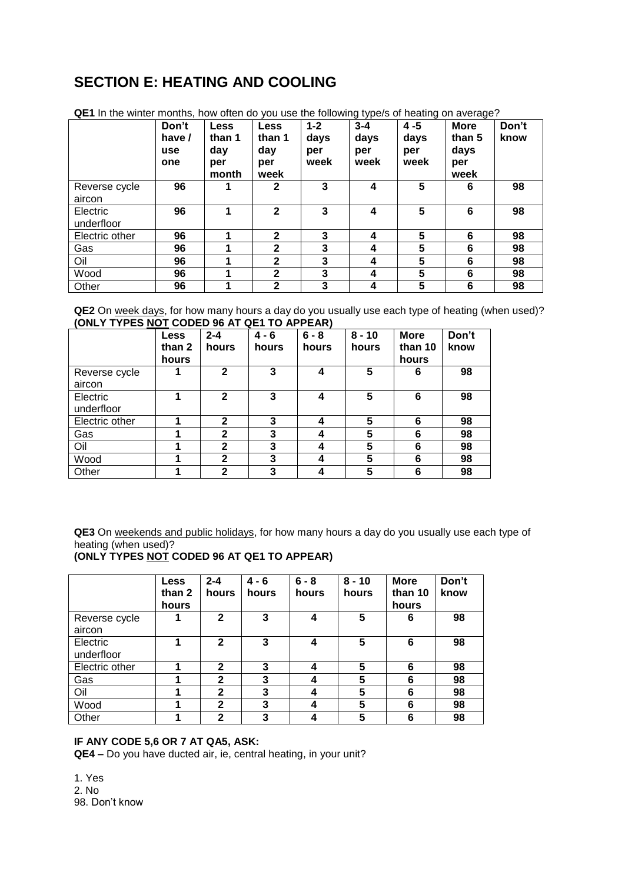# **SECTION E: HEATING AND COOLING**

|                 | Don't      | <b>Less</b> | <b>Less</b>  | $1 - 2$ | $3 - 4$ | 4 - 5 | <b>More</b> | Don't |
|-----------------|------------|-------------|--------------|---------|---------|-------|-------------|-------|
|                 | have /     | than 1      | than 1       | days    | days    | days  | than 5      | know  |
|                 | <b>use</b> | day         | day          | per     | per     | per   | days        |       |
|                 | one        | per         | per          | week    | week    | week  | per         |       |
|                 |            | month       | week         |         |         |       | week        |       |
| Reverse cycle   | 96         |             | $\mathbf{2}$ | 3       | 4       | 5     | 6           | 98    |
| aircon          |            |             |              |         |         |       |             |       |
| <b>Electric</b> | 96         |             | $\mathbf{2}$ | 3       | 4       | 5     | 6           | 98    |
| underfloor      |            |             |              |         |         |       |             |       |
| Electric other  | 96         |             | $\mathbf{2}$ | 3       | 4       | 5     | 6           | 98    |
| Gas             | 96         |             | $\mathbf{2}$ | 3       | 4       | 5     | 6           | 98    |
| Oil             | 96         |             | $\mathbf{2}$ | 3       | 4       | 5     | 6           | 98    |
| Wood            | 96         |             | $\mathbf{2}$ | 3       | 4       | 5     | 6           | 98    |
| Other           | 96         |             | $\mathbf{2}$ | 3       | 4       | 5     | 6           | 98    |

**QE1** In the winter months, how often do you use the following type/s of heating on average?

**QE2** On week days, for how many hours a day do you usually use each type of heating (when used)? **(ONLY TYPES NOT CODED 96 AT QE1 TO APPEAR)**

|                         | <b>Less</b><br>than 2<br>hours | $2 - 4$<br>hours | $4 - 6$<br>hours | $6 - 8$<br>hours | $8 - 10$<br>hours | <b>More</b><br>than 10<br>hours | Don't<br>know |
|-------------------------|--------------------------------|------------------|------------------|------------------|-------------------|---------------------------------|---------------|
| Reverse cycle<br>aircon |                                | $\mathbf{2}$     | 3                | 4                | 5                 | 6                               | 98            |
| Electric<br>underfloor  |                                | $\mathbf{2}$     | 3                | 4                | 5                 | 6                               | 98            |
| Electric other          |                                | $\mathbf{2}$     | 3                | 4                | 5                 | 6                               | 98            |
| Gas                     |                                | $\mathbf{2}$     | 3                | 4                | 5                 | 6                               | 98            |
| Oil                     |                                | $\mathbf{2}$     | 3                | 4                | 5                 | 6                               | 98            |
| Wood                    |                                | $\mathbf{2}$     | 3                | 4                | 5                 | 6                               | 98            |
| Other                   |                                | $\mathbf{2}$     | 3                | 4                | 5                 | 6                               | 98            |

**QE3** On weekends and public holidays, for how many hours a day do you usually use each type of heating (when used)?

## **(ONLY TYPES NOT CODED 96 AT QE1 TO APPEAR)**

|                         | <b>Less</b><br>than 2<br>hours | $2 - 4$<br>hours | $4 - 6$<br>hours | $6 - 8$<br>hours | $8 - 10$<br>hours | <b>More</b><br>than 10<br>hours | Don't<br>know |
|-------------------------|--------------------------------|------------------|------------------|------------------|-------------------|---------------------------------|---------------|
| Reverse cycle<br>aircon |                                | $\mathbf{2}$     | 3                | 4                | 5                 | 6                               | 98            |
| Electric<br>underfloor  | 1                              | $\mathbf{2}$     | 3                | 4                | 5                 | 6                               | 98            |
| Electric other          |                                | $\mathbf{2}$     | 3                | 4                | 5                 | 6                               | 98            |
| Gas                     |                                | $\mathbf{2}$     | 3                | 4                | 5                 | 6                               | 98            |
| Oil                     |                                | $\mathbf{2}$     | 3                | 4                | 5                 | 6                               | 98            |
| Wood                    |                                | $\mathbf{2}$     | 3                | 4                | 5                 | 6                               | 98            |
| Other                   |                                | $\mathbf{2}$     | 3                | 4                | 5                 | 6                               | 98            |

## **IF ANY CODE 5,6 OR 7 AT QA5, ASK:**

**QE4 –** Do you have ducted air, ie, central heating, in your unit?

1. Yes 2. No 98. Don't know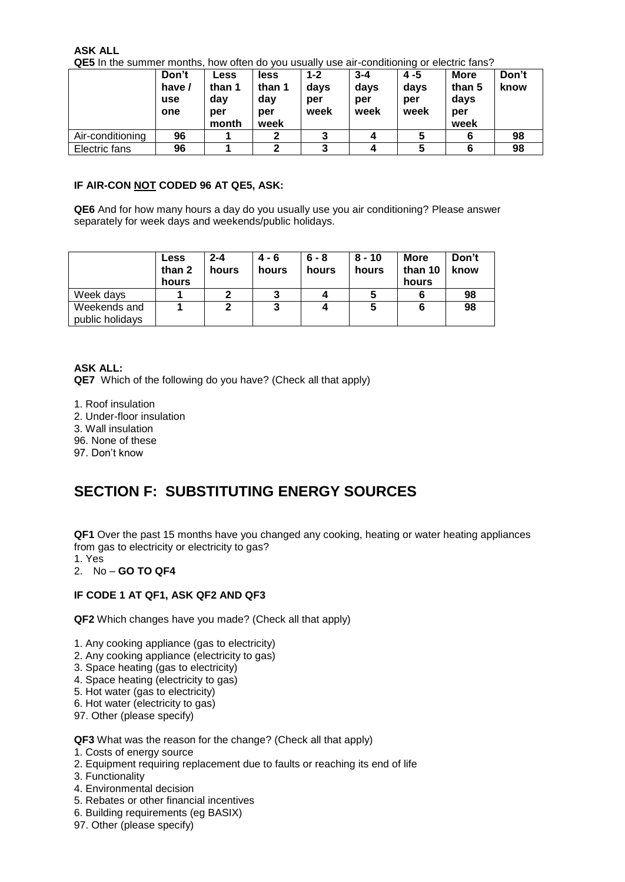**ASK ALL**

**QE5** In the summer months, how often do you usually use air-conditioning or electric fans?

|                  | Don't<br>have /<br>use<br>one | Less<br>than 1<br>day<br>per<br>month | less<br>than 1<br>day<br>per<br>week | $1 - 2$<br>days<br>per<br>week | $3 - 4$<br>days<br>per<br>week | 4 - 5<br>days<br>per<br>week | <b>More</b><br>than 5<br>days<br>per<br>week | Don't<br>know |
|------------------|-------------------------------|---------------------------------------|--------------------------------------|--------------------------------|--------------------------------|------------------------------|----------------------------------------------|---------------|
| Air-conditioning | 96                            |                                       | 2                                    | 3                              |                                | 5                            |                                              | 98            |
| Electric fans    | 96                            |                                       | っ                                    | 3                              |                                | 5                            |                                              | 98            |

#### **IF AIR-CON NOT CODED 96 AT QE5, ASK:**

**QE6** And for how many hours a day do you usually use you air conditioning? Please answer separately for week days and weekends/public holidays.

|                                 | <b>Less</b><br>than 2<br>hours | 2-4<br>hours | $4 - 6$<br>hours | 6 - 8<br>hours | $8 - 10$<br>hours | <b>More</b><br>than 10<br>hours | Don't<br>know |
|---------------------------------|--------------------------------|--------------|------------------|----------------|-------------------|---------------------------------|---------------|
| Week days                       |                                |              |                  |                |                   |                                 | 98            |
| Weekends and<br>public holidays |                                |              | 3                |                |                   | 6                               | 98            |

**ASK ALL:**

**QE7** Which of the following do you have? (Check all that apply)

1. Roof insulation 2. Under-floor insulation 3. Wall insulation 96. None of these 97. Don't know

## **SECTION F: SUBSTITUTING ENERGY SOURCES**

**QF1** Over the past 15 months have you changed any cooking, heating or water heating appliances from gas to electricity or electricity to gas?

1. Yes

#### 2. No – **GO TO QF4**

#### **IF CODE 1 AT QF1, ASK QF2 AND QF3**

**QF2** Which changes have you made? (Check all that apply)

- 1. Any cooking appliance (gas to electricity)
- 2. Any cooking appliance (electricity to gas)
- 3. Space heating (gas to electricity)
- 4. Space heating (electricity to gas)
- 5. Hot water (gas to electricity)
- 6. Hot water (electricity to gas)
- 97. Other (please specify)

#### **QF3** What was the reason for the change? (Check all that apply)

- 1. Costs of energy source
- 2. Equipment requiring replacement due to faults or reaching its end of life
- 3. Functionality
- 4. Environmental decision
- 5. Rebates or other financial incentives
- 6. Building requirements (eg BASIX)
- 97. Other (please specify)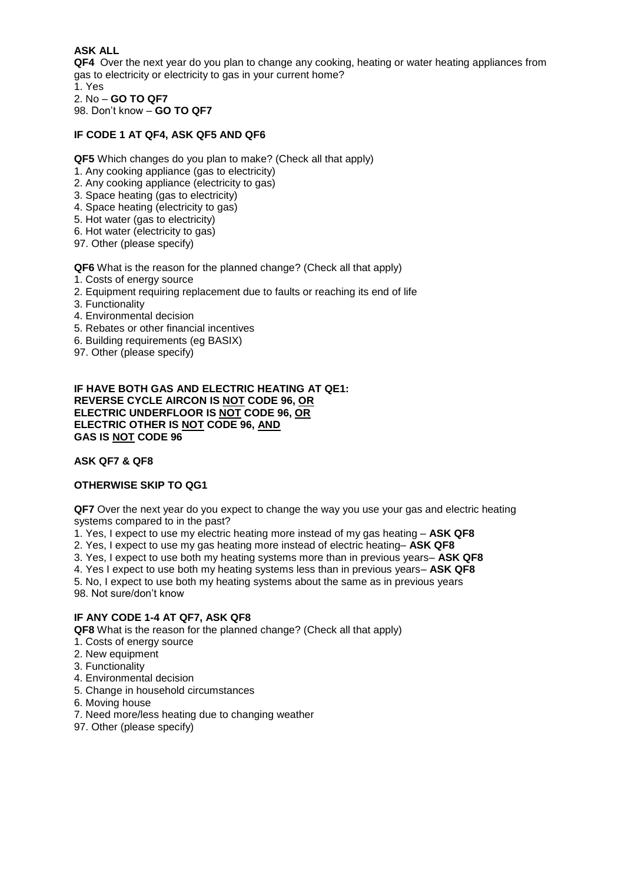### **ASK ALL**

**QF4** Over the next year do you plan to change any cooking, heating or water heating appliances from gas to electricity or electricity to gas in your current home? 1. Yes

2. No – **GO TO QF7** 98. Don't know – **GO TO QF7**

#### **IF CODE 1 AT QF4, ASK QF5 AND QF6**

**QF5** Which changes do you plan to make? (Check all that apply)

- 1. Any cooking appliance (gas to electricity)
- 2. Any cooking appliance (electricity to gas)
- 3. Space heating (gas to electricity)
- 4. Space heating (electricity to gas)
- 5. Hot water (gas to electricity)
- 6. Hot water (electricity to gas)
- 97. Other (please specify)

**QF6** What is the reason for the planned change? (Check all that apply)

- 1. Costs of energy source
- 2. Equipment requiring replacement due to faults or reaching its end of life
- 3. Functionality
- 4. Environmental decision
- 5. Rebates or other financial incentives
- 6. Building requirements (eg BASIX)
- 97. Other (please specify)

#### **IF HAVE BOTH GAS AND ELECTRIC HEATING AT QE1: REVERSE CYCLE AIRCON IS NOT CODE 96, OR ELECTRIC UNDERFLOOR IS NOT CODE 96, OR ELECTRIC OTHER IS NOT CODE 96, AND GAS IS NOT CODE 96**

#### **ASK QF7 & QF8**

#### **OTHERWISE SKIP TO QG1**

**QF7** Over the next year do you expect to change the way you use your gas and electric heating systems compared to in the past?

1. Yes, I expect to use my electric heating more instead of my gas heating – **ASK QF8**

2. Yes, I expect to use my gas heating more instead of electric heating– **ASK QF8**

3. Yes, I expect to use both my heating systems more than in previous years– **ASK QF8**

4. Yes I expect to use both my heating systems less than in previous years– **ASK QF8**

5. No, I expect to use both my heating systems about the same as in previous years 98. Not sure/don't know

#### **IF ANY CODE 1-4 AT QF7, ASK QF8**

**QF8** What is the reason for the planned change? (Check all that apply)

- 1. Costs of energy source
- 2. New equipment
- 3. Functionality
- 4. Environmental decision
- 5. Change in household circumstances
- 6. Moving house
- 7. Need more/less heating due to changing weather
- 97. Other (please specify)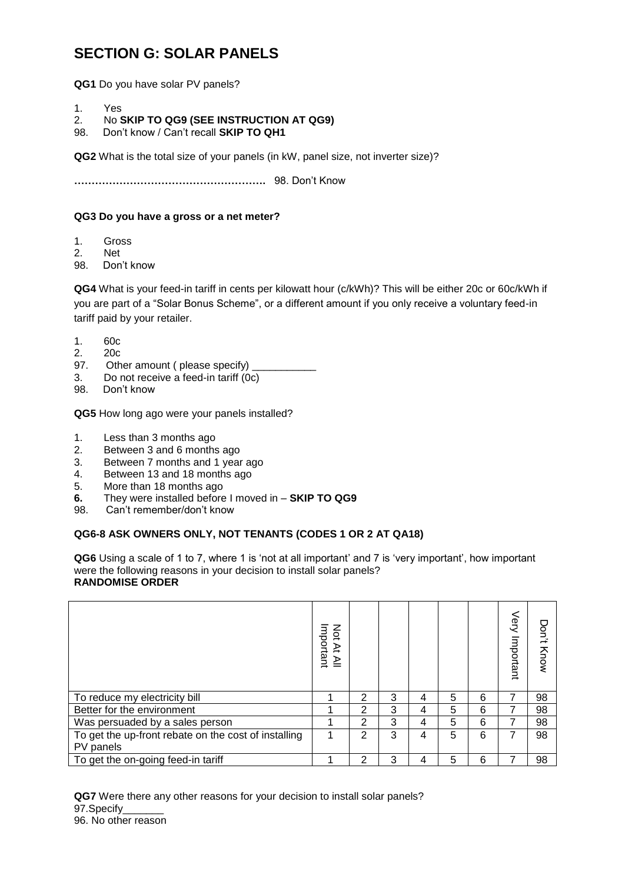## **SECTION G: SOLAR PANELS**

**QG1** Do you have solar PV panels?

- 1. Yes
- 2. No **SKIP TO QG9 (SEE INSTRUCTION AT QG9)**
- 98. Don't know / Can't recall **SKIP TO QH1**

**QG2** What is the total size of your panels (in kW, panel size, not inverter size)?

**……………………………………………….** 98. Don't Know

#### **QG3 Do you have a gross or a net meter?**

- 1. Gross
- 2. Net
- 98. Don't know

**QG4** What is your feed-in tariff in cents per kilowatt hour (c/kWh)? This will be either 20c or 60c/kWh if you are part of a "Solar Bonus Scheme", or a different amount if you only receive a voluntary feed-in tariff paid by your retailer.

- 1. 60c
- 2. 20c
- 97. Other amount ( please specify)
- 3. Do not receive a feed-in tariff (0c)
- 98. Don't know

**QG5** How long ago were your panels installed?

- 1. Less than 3 months ago
- 2. Between 3 and 6 months ago
- 3. Between 7 months and 1 year ago
- 4. Between 13 and 18 months ago
- 5. More than 18 months ago
- **6.** They were installed before I moved in **SKIP TO QG9**
- 98. Can't remember/don't know

### **QG6-8 ASK OWNERS ONLY, NOT TENANTS (CODES 1 OR 2 AT QA18)**

**QG6** Using a scale of 1 to 7, where 1 is 'not at all important' and 7 is 'very important', how important were the following reasons in your decision to install solar panels? **RANDOMISE ORDER**

|                                                      | Σď<br>mportant<br>≩<br>≧ |   |   |   |   |   | Very<br>Important | Don't<br>Know |
|------------------------------------------------------|--------------------------|---|---|---|---|---|-------------------|---------------|
| To reduce my electricity bill                        |                          | 2 | 3 | 4 | 5 | 6 | 7                 | 98            |
| Better for the environment                           |                          | 2 | 3 | 4 | 5 | 6 | 7                 | 98            |
| Was persuaded by a sales person                      |                          | 2 | 3 | 4 | 5 | 6 |                   | 98            |
| To get the up-front rebate on the cost of installing | ◢                        | 2 | 3 | 4 | 5 | 6 | 7                 | 98            |
| PV panels                                            |                          |   |   |   |   |   |                   |               |
| To get the on-going feed-in tariff                   |                          | າ | 3 | 4 | 5 | 6 | 7                 | 98            |

**QG7** Were there any other reasons for your decision to install solar panels? 97.Specify\_\_\_\_\_\_\_ 96. No other reason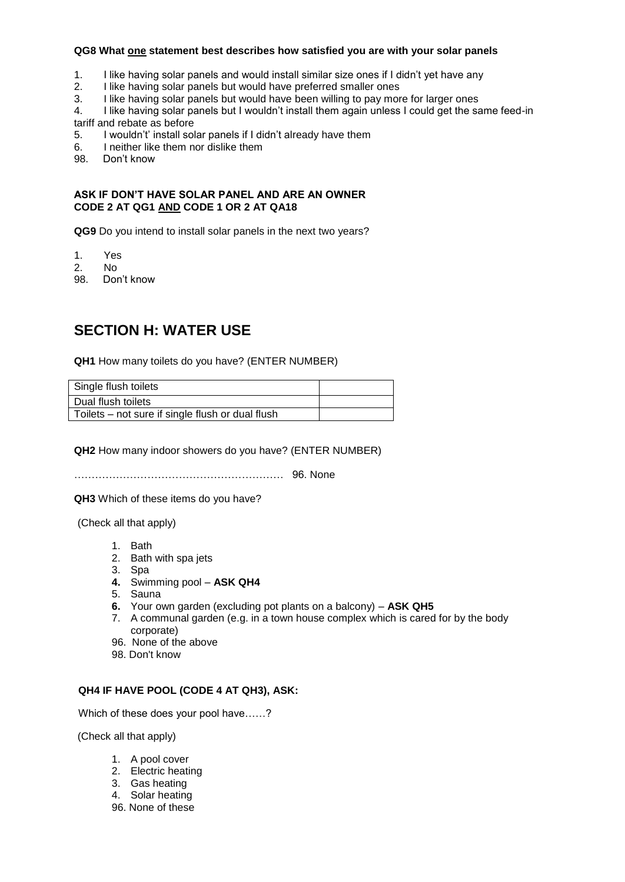#### **QG8 What one statement best describes how satisfied you are with your solar panels**

- 1. I like having solar panels and would install similar size ones if I didn't yet have any
- 2. I like having solar panels but would have preferred smaller ones
- 3. I like having solar panels but would have been willing to pay more for larger ones
- 4. I like having solar panels but I wouldn't install them again unless I could get the same feed-in tariff and rebate as before
- 5. I wouldn't' install solar panels if I didn't already have them
- 6. I neither like them nor dislike them<br>98. Don't know
- Don't know

#### **ASK IF DON'T HAVE SOLAR PANEL AND ARE AN OWNER CODE 2 AT QG1 AND CODE 1 OR 2 AT QA18**

**QG9** Do you intend to install solar panels in the next two years?

- 1. Yes
- 2. No
- 98. Don't know

## **SECTION H: WATER USE**

**QH1** How many toilets do you have? (ENTER NUMBER)

| Single flush toilets                             |  |
|--------------------------------------------------|--|
| Dual flush toilets                               |  |
| Toilets – not sure if single flush or dual flush |  |

**QH2** How many indoor showers do you have? (ENTER NUMBER)

…………………………………………………… 96. None

**QH3** Which of these items do you have?

(Check all that apply)

- 1. Bath
- 2. Bath with spa jets
- 3. Spa
- **4.** Swimming pool **ASK QH4**
- 5. Sauna
- **6.** Your own garden (excluding pot plants on a balcony) **ASK QH5**
- 7. A communal garden (e.g. in a town house complex which is cared for by the body corporate)
- 96. None of the above
- 98. Don't know

#### **QH4 IF HAVE POOL (CODE 4 AT QH3), ASK:**

Which of these does your pool have……?

(Check all that apply)

- 1. A pool cover
- 2. Electric heating
- 3. Gas heating
- 4. Solar heating
- 96. None of these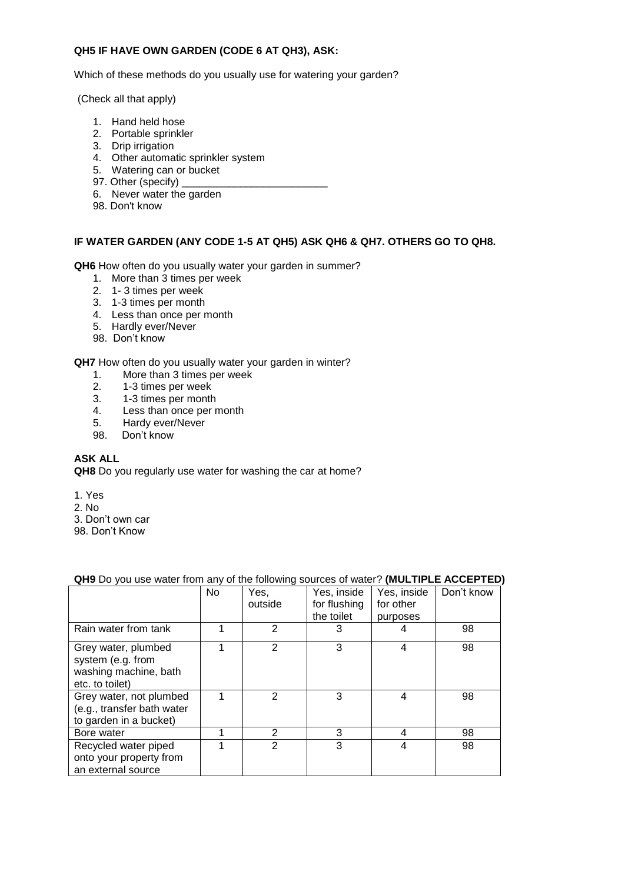### **QH5 IF HAVE OWN GARDEN (CODE 6 AT QH3), ASK:**

Which of these methods do you usually use for watering your garden?

(Check all that apply)

- 1. Hand held hose
- 2. Portable sprinkler
- 3. Drip irrigation
- 4. Other automatic sprinkler system
- 5. Watering can or bucket
- 97. Other (specify)
- 6. Never water the garden
- 98. Don't know

#### **IF WATER GARDEN (ANY CODE 1-5 AT QH5) ASK QH6 & QH7. OTHERS GO TO QH8.**

**QH6** How often do you usually water your garden in summer?

- 1. More than 3 times per week
- 2. 1- 3 times per week
- 3. 1-3 times per month
- 4. Less than once per month
- 5. Hardly ever/Never
- 98. Don't know

**QH7** How often do you usually water your garden in winter?

- 1. More than 3 times per week<br>2. 1-3 times per week
- 2. 1-3 times per week
- 3. 1-3 times per month
- 4. Less than once per month
- 5. Hardy ever/Never
- 98. Don't know

#### **ASK ALL**

**QH8** Do you regularly use water for washing the car at home?

- 1. Yes
- 2. No
- 3. Don't own car
- 98. Don't Know

#### **QH9** Do you use water from any of the following sources of water? **(MULTIPLE ACCEPTED)**

|                                                                                      | <b>No</b> | Yes,<br>outside | Yes, inside<br>for flushing<br>the toilet | Yes, inside<br>for other<br>purposes | Don't know |
|--------------------------------------------------------------------------------------|-----------|-----------------|-------------------------------------------|--------------------------------------|------------|
| Rain water from tank                                                                 |           | 2               | 3                                         | 4                                    | 98         |
| Grey water, plumbed<br>system (e.g. from<br>washing machine, bath<br>etc. to toilet) | 1         | $\mathcal{P}$   | 3                                         | 4                                    | 98         |
| Grey water, not plumbed<br>(e.g., transfer bath water<br>to garden in a bucket)      | 1         | 2               | 3                                         | 4                                    | 98         |
| Bore water                                                                           | 1         | 2               | 3                                         | 4                                    | 98         |
| Recycled water piped<br>onto your property from<br>an external source                |           | $\mathcal{P}$   | 3                                         | 4                                    | 98         |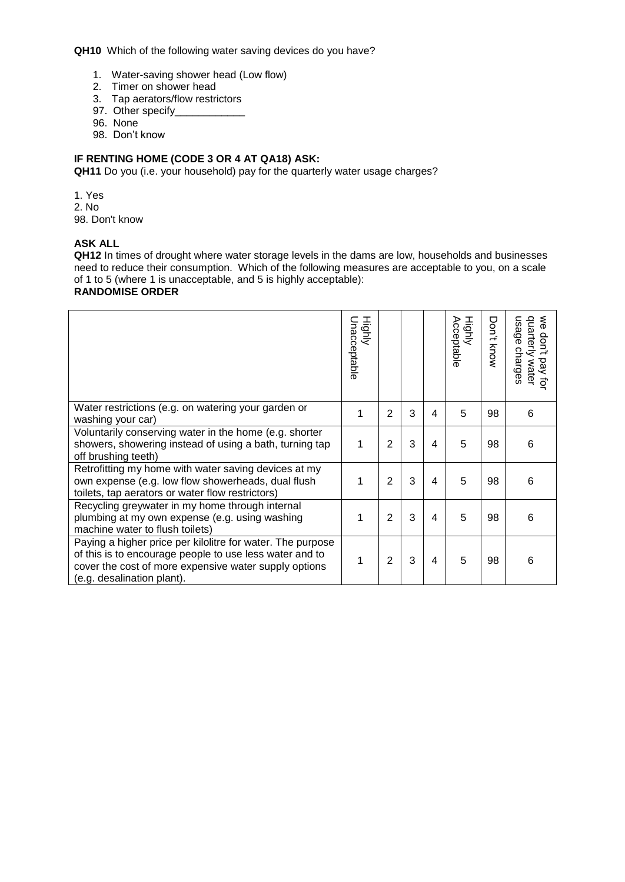**QH10** Which of the following water saving devices do you have?

- 1. Water-saving shower head (Low flow)
- 2. Timer on shower head
- 3. Tap aerators/flow restrictors
- 97. Other specify\_\_\_\_\_\_\_\_\_\_\_\_\_
- 96. None
- 98. Don't know

## **IF RENTING HOME (CODE 3 OR 4 AT QA18) ASK:**

**QH11** Do you (i.e. your household) pay for the quarterly water usage charges?

1. Yes

2. No

98. Don't know

### **ASK ALL**

**QH12** In times of drought where water storage levels in the dams are low, households and businesses need to reduce their consumption. Which of the following measures are acceptable to you, on a scale of 1 to 5 (where 1 is unacceptable, and 5 is highly acceptable):

#### **RANDOMISE ORDER**

|                                                                                                                                                                                                              | Highly<br>Jnacceptable |                |   |   | Highly<br>Acceptable | Don't<br>Know | $\mathbf{\delta}_{\mathbf{\theta}}$<br>quarterly<br>usage<br>don't<br>charges<br>g<br>water<br>đ |
|--------------------------------------------------------------------------------------------------------------------------------------------------------------------------------------------------------------|------------------------|----------------|---|---|----------------------|---------------|--------------------------------------------------------------------------------------------------|
| Water restrictions (e.g. on watering your garden or<br>washing your car)                                                                                                                                     | 1                      | $\overline{2}$ | 3 | 4 | 5                    | 98            | 6                                                                                                |
| Voluntarily conserving water in the home (e.g. shorter<br>showers, showering instead of using a bath, turning tap<br>off brushing teeth)                                                                     | 1                      | $\overline{2}$ | 3 | 4 | 5                    | 98            | 6                                                                                                |
| Retrofitting my home with water saving devices at my<br>own expense (e.g. low flow showerheads, dual flush<br>toilets, tap aerators or water flow restrictors)                                               | 1                      | $\overline{2}$ | 3 | 4 | 5                    | 98            | 6                                                                                                |
| Recycling greywater in my home through internal<br>plumbing at my own expense (e.g. using washing<br>machine water to flush toilets)                                                                         | 1                      | $\overline{2}$ | 3 | 4 | 5                    | 98            | 6                                                                                                |
| Paying a higher price per kilolitre for water. The purpose<br>of this is to encourage people to use less water and to<br>cover the cost of more expensive water supply options<br>(e.g. desalination plant). | 1                      | 2              | 3 | 4 | 5                    | 98            | 6                                                                                                |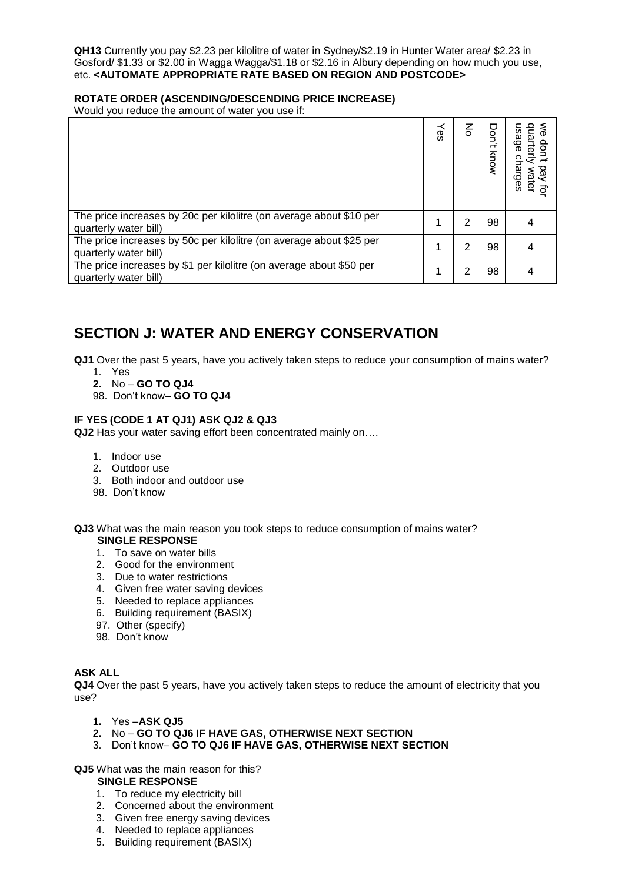**QH13** Currently you pay \$2.23 per kilolitre of water in Sydney/\$2.19 in Hunter Water area/ \$2.23 in Gosford/ \$1.33 or \$2.00 in Wagga Wagga/\$1.18 or \$2.16 in Albury depending on how much you use, etc. **<AUTOMATE APPROPRIATE RATE BASED ON REGION AND POSTCODE>**

#### **ROTATE ORDER (ASCENDING/DESCENDING PRICE INCREASE)**

Would you reduce the amount of water you use if:

|                                                                                              | λes | 종 | Don<br>Know | ಔ<br>arges<br>0 |
|----------------------------------------------------------------------------------------------|-----|---|-------------|-----------------|
| The price increases by 20c per kilolitre (on average about \$10 per<br>quarterly water bill) | 1   | 2 | 98          |                 |
| The price increases by 50c per kilolitre (on average about \$25 per<br>quarterly water bill) |     | 2 | 98          |                 |
| The price increases by \$1 per kilolitre (on average about \$50 per<br>quarterly water bill) | 1   | 2 | 98          |                 |

## **SECTION J: WATER AND ENERGY CONSERVATION**

**QJ1** Over the past 5 years, have you actively taken steps to reduce your consumption of mains water?

- 1. Yes
- **2.** No **GO TO QJ4**
- 98. Don't know– **GO TO QJ4**

#### **IF YES (CODE 1 AT QJ1) ASK QJ2 & QJ3**

**QJ2** Has your water saving effort been concentrated mainly on….

- 1. Indoor use
- 2. Outdoor use
- 3. Both indoor and outdoor use
- 98. Don't know

**QJ3** What was the main reason you took steps to reduce consumption of mains water? **SINGLE RESPONSE**

- 1. To save on water bills
- 2. Good for the environment
- 3. Due to water restrictions
- 4. Given free water saving devices
- 5. Needed to replace appliances
- 6. Building requirement (BASIX)
- 97. Other (specify)
- 98. Don't know

#### **ASK ALL**

**QJ4** Over the past 5 years, have you actively taken steps to reduce the amount of electricity that you use?

- **1.** Yes –**ASK QJ5**
- **2.** No **GO TO QJ6 IF HAVE GAS, OTHERWISE NEXT SECTION**
- 3. Don't know– **GO TO QJ6 IF HAVE GAS, OTHERWISE NEXT SECTION**

**QJ5** What was the main reason for this?

#### **SINGLE RESPONSE**

- 1. To reduce my electricity bill
- 2. Concerned about the environment
- 3. Given free energy saving devices
- 4. Needed to replace appliances
- 5. Building requirement (BASIX)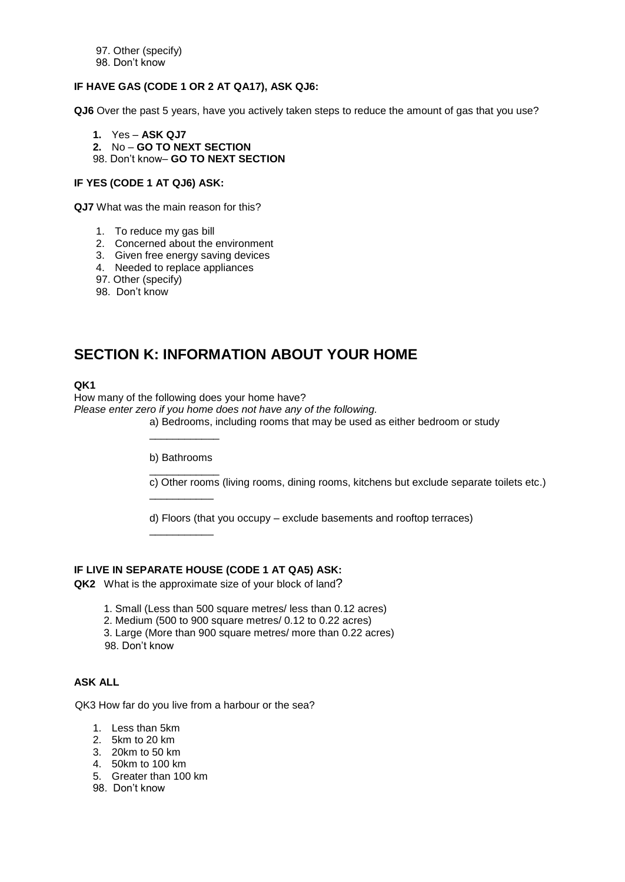97. Other (specify) 98. Don't know

### **IF HAVE GAS (CODE 1 OR 2 AT QA17), ASK QJ6:**

**QJ6** Over the past 5 years, have you actively taken steps to reduce the amount of gas that you use?

- **1.** Yes **ASK QJ7**
- **2.** No **GO TO NEXT SECTION**
- 98. Don't know– **GO TO NEXT SECTION**

### **IF YES (CODE 1 AT QJ6) ASK:**

**QJ7** What was the main reason for this?

- 1. To reduce my gas bill
- 2. Concerned about the environment
- 3. Given free energy saving devices
- 4. Needed to replace appliances
- 97. Other (specify)
- 98. Don't know

## **SECTION K: INFORMATION ABOUT YOUR HOME**

#### **QK1**

How many of the following does your home have? *Please enter zero if you home does not have any of the following.* a) Bedrooms, including rooms that may be used as either bedroom or study

> b) Bathrooms  $\overline{\phantom{a}}$   $\overline{\phantom{a}}$   $\overline{\phantom{a}}$   $\overline{\phantom{a}}$   $\overline{\phantom{a}}$   $\overline{\phantom{a}}$   $\overline{\phantom{a}}$   $\overline{\phantom{a}}$   $\overline{\phantom{a}}$   $\overline{\phantom{a}}$   $\overline{\phantom{a}}$   $\overline{\phantom{a}}$   $\overline{\phantom{a}}$   $\overline{\phantom{a}}$   $\overline{\phantom{a}}$   $\overline{\phantom{a}}$   $\overline{\phantom{a}}$   $\overline{\phantom{a}}$   $\overline{\$

\_\_\_\_\_\_\_\_\_\_\_

\_\_\_\_\_\_\_\_\_\_\_

\_\_\_\_\_\_\_\_\_\_\_\_

c) Other rooms (living rooms, dining rooms, kitchens but exclude separate toilets etc.)

d) Floors (that you occupy – exclude basements and rooftop terraces)

#### **IF LIVE IN SEPARATE HOUSE (CODE 1 AT QA5) ASK:**

**QK2** What is the approximate size of your block of land?

1. Small (Less than 500 square metres/ less than 0.12 acres)

2. Medium (500 to 900 square metres/ 0.12 to 0.22 acres)

3. Large (More than 900 square metres/ more than 0.22 acres) 98. Don't know

#### **ASK ALL**

QK3 How far do you live from a harbour or the sea?

- 1. Less than 5km
- 2. 5km to 20 km
- 3. 20km to 50 km
- 4. 50km to 100 km
- 5. Greater than 100 km
- 98. Don't know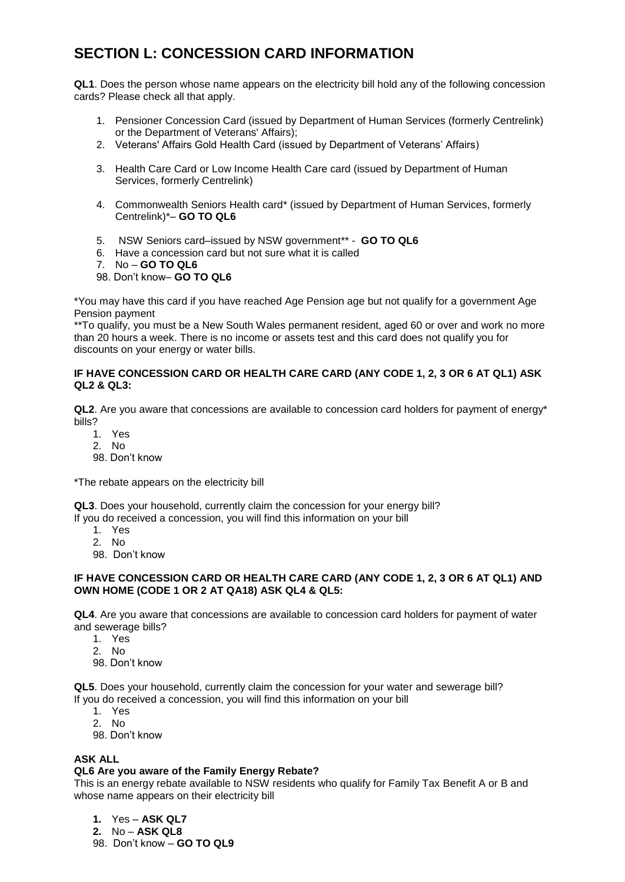# **SECTION L: CONCESSION CARD INFORMATION**

**QL1**. Does the person whose name appears on the electricity bill hold any of the following concession cards? Please check all that apply.

- 1. Pensioner Concession Card (issued by Department of Human Services (formerly Centrelink) or the Department of Veterans' Affairs);
- 2. Veterans' Affairs Gold Health Card (issued by Department of Veterans' Affairs)
- 3. Health Care Card or Low Income Health Care card (issued by Department of Human Services, formerly Centrelink)
- 4. Commonwealth Seniors Health card\* (issued by Department of Human Services, formerly Centrelink)\*– **GO TO QL6**
- 5. NSW Seniors card–issued by NSW government\*\* **GO TO QL6**
- 6. Have a concession card but not sure what it is called
- 7. No **GO TO QL6**
- 98. Don't know– **GO TO QL6**

\*You may have this card if you have reached Age Pension age but not qualify for a government Age Pension payment

\*\*To qualify, you must be a New South Wales permanent resident, aged 60 or over and work no more than 20 hours a week. There is no income or assets test and this card does not qualify you for discounts on your energy or water bills.

#### **IF HAVE CONCESSION CARD OR HEALTH CARE CARD (ANY CODE 1, 2, 3 OR 6 AT QL1) ASK QL2 & QL3:**

**QL2**. Are you aware that concessions are available to concession card holders for payment of energy\* bills?

- 1. Yes
- 2. No
- 98. Don't know

\*The rebate appears on the electricity bill

**QL3**. Does your household, currently claim the concession for your energy bill?

If you do received a concession, you will find this information on your bill

- 1. Yes
- 2. No
- 98. Don't know

#### **IF HAVE CONCESSION CARD OR HEALTH CARE CARD (ANY CODE 1, 2, 3 OR 6 AT QL1) AND OWN HOME (CODE 1 OR 2 AT QA18) ASK QL4 & QL5:**

**QL4**. Are you aware that concessions are available to concession card holders for payment of water and sewerage bills?

- 1. Yes
- 2. No
- 98. Don't know

**QL5**. Does your household, currently claim the concession for your water and sewerage bill? If you do received a concession, you will find this information on your bill

- 1. Yes
- 2. No
- 98. Don't know

#### **ASK ALL**

#### **QL6 Are you aware of the Family Energy Rebate?**

This is an energy rebate available to NSW residents who qualify for Family Tax Benefit A or B and whose name appears on their electricity bill

- **1.** Yes **ASK QL7**
- **2.** No **ASK QL8**
- 98. Don't know **GO TO QL9**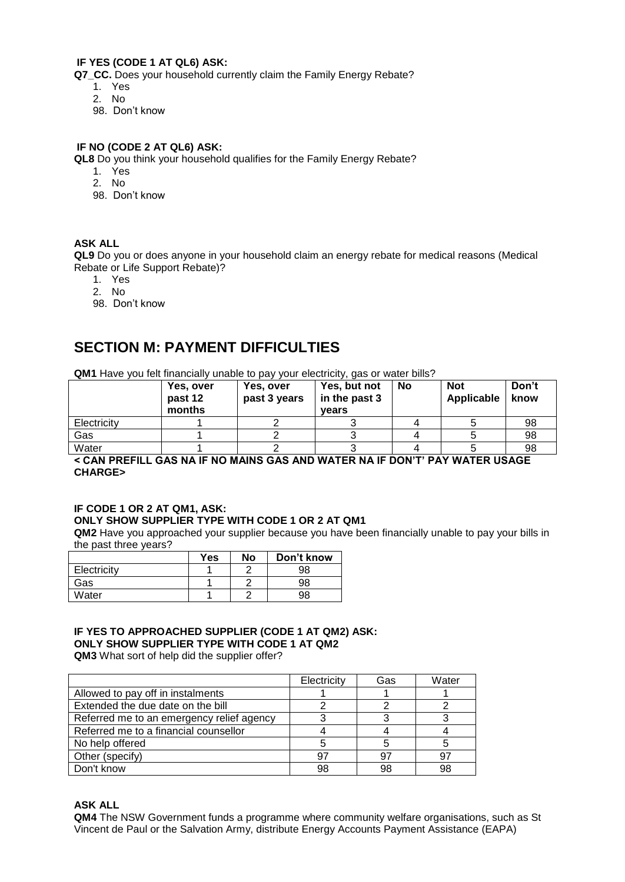## **IF YES (CODE 1 AT QL6) ASK:**

**Q7\_CC.** Does your household currently claim the Family Energy Rebate?

- 1. Yes
- 2. No
- 98. Don't know

#### **IF NO (CODE 2 AT QL6) ASK:**

**QL8** Do you think your household qualifies for the Family Energy Rebate?

- 1. Yes
- 2. No
- 98. Don't know

#### **ASK ALL**

**QL9** Do you or does anyone in your household claim an energy rebate for medical reasons (Medical Rebate or Life Support Rebate)?

- 1. Yes
- 2. No
- 98. Don't know

## **SECTION M: PAYMENT DIFFICULTIES**

**QM1** Have you felt financially unable to pay your electricity, gas or water bills?

|             | Yes, over<br>past 12<br>months | Yes, over<br>past 3 years | Yes, but not<br>in the past 3<br>vears | <b>No</b> | <b>Not</b><br>Applicable | Don't<br>know |
|-------------|--------------------------------|---------------------------|----------------------------------------|-----------|--------------------------|---------------|
| Electricity |                                |                           |                                        |           |                          | 98            |
| Gas         |                                |                           |                                        |           |                          | 98            |
| Water       |                                |                           |                                        |           |                          | 98            |

**< CAN PREFILL GAS NA IF NO MAINS GAS AND WATER NA IF DON'T' PAY WATER USAGE CHARGE>**

#### **IF CODE 1 OR 2 AT QM1, ASK: ONLY SHOW SUPPLIER TYPE WITH CODE 1 OR 2 AT QM1**

**QM2** Have you approached your supplier because you have been financially unable to pay your bills in the past three years?

|             | <b>Yes</b> | Nο | Don't know |
|-------------|------------|----|------------|
| Electricity |            |    | 98         |
| Gas         |            |    | 98         |
| Water       |            |    | 98         |

## **IF YES TO APPROACHED SUPPLIER (CODE 1 AT QM2) ASK: ONLY SHOW SUPPLIER TYPE WITH CODE 1 AT QM2**

**QM3** What sort of help did the supplier offer?

|                                           | Electricity | Gas | Water |
|-------------------------------------------|-------------|-----|-------|
| Allowed to pay off in instalments         |             |     |       |
| Extended the due date on the bill         |             |     |       |
| Referred me to an emergency relief agency |             |     |       |
| Referred me to a financial counsellor     |             |     |       |
| No help offered                           |             |     |       |
| Other (specify)                           | 97          | 97  |       |
| Don't know                                | 98          | 98  |       |

**ASK ALL**

**QM4** The NSW Government funds a programme where community welfare organisations, such as St Vincent de Paul or the Salvation Army, distribute Energy Accounts Payment Assistance (EAPA)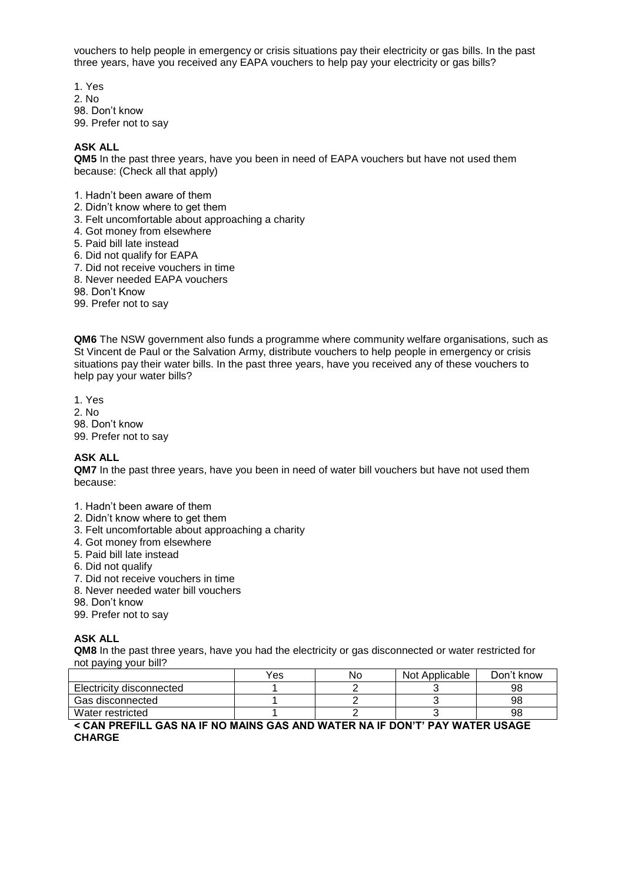vouchers to help people in emergency or crisis situations pay their electricity or gas bills. In the past three years, have you received any EAPA vouchers to help pay your electricity or gas bills?

1. Yes 2. No 98. Don't know 99. Prefer not to say

#### **ASK ALL**

**QM5** In the past three years, have you been in need of EAPA vouchers but have not used them because: (Check all that apply)

- 1. Hadn't been aware of them
- 2. Didn't know where to get them
- 3. Felt uncomfortable about approaching a charity
- 4. Got money from elsewhere
- 5. Paid bill late instead
- 6. Did not qualify for EAPA
- 7. Did not receive vouchers in time
- 8. Never needed EAPA vouchers
- 98. Don't Know
- 99. Prefer not to say

**QM6** The NSW government also funds a programme where community welfare organisations, such as St Vincent de Paul or the Salvation Army, distribute vouchers to help people in emergency or crisis situations pay their water bills. In the past three years, have you received any of these vouchers to help pay your water bills?

1. Yes 2. No 98. Don't know 99. Prefer not to say

#### **ASK ALL**

**QM7** In the past three years, have you been in need of water bill vouchers but have not used them because:

1. Hadn't been aware of them

- 2. Didn't know where to get them
- 3. Felt uncomfortable about approaching a charity
- 4. Got money from elsewhere
- 5. Paid bill late instead
- 6. Did not qualify
- 7. Did not receive vouchers in time
- 8. Never needed water bill vouchers
- 98. Don't know
- 99. Prefer not to say

#### **ASK ALL**

**QM8** In the past three years, have you had the electricity or gas disconnected or water restricted for not paying your bill?

|                          | Yes | No | Not Applicable | Don't know |
|--------------------------|-----|----|----------------|------------|
| Electricity disconnected |     |    |                | 98         |
| Gas disconnected         |     |    |                | 98         |
| Water restricted         |     |    |                | 98         |

**< CAN PREFILL GAS NA IF NO MAINS GAS AND WATER NA IF DON'T' PAY WATER USAGE CHARGE**